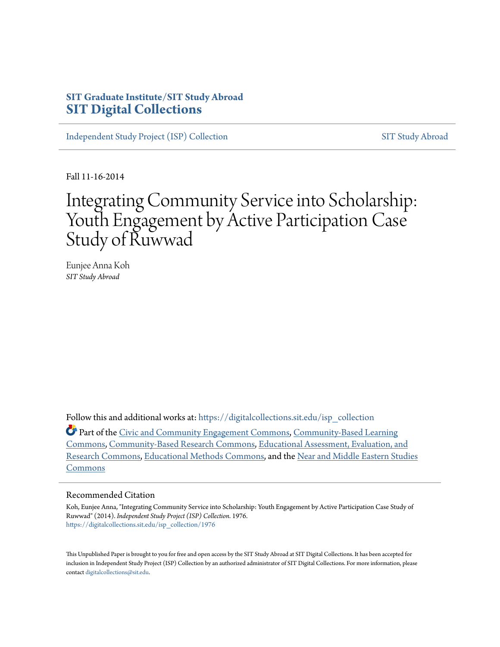# **SIT Graduate Institute/SIT Study Abroad [SIT Digital Collections](https://digitalcollections.sit.edu?utm_source=digitalcollections.sit.edu%2Fisp_collection%2F1976&utm_medium=PDF&utm_campaign=PDFCoverPages)**

[Independent Study Project \(ISP\) Collection](https://digitalcollections.sit.edu/isp_collection?utm_source=digitalcollections.sit.edu%2Fisp_collection%2F1976&utm_medium=PDF&utm_campaign=PDFCoverPages) [SIT Study Abroad](https://digitalcollections.sit.edu/study_abroad?utm_source=digitalcollections.sit.edu%2Fisp_collection%2F1976&utm_medium=PDF&utm_campaign=PDFCoverPages)

Fall 11-16-2014

# Integrating Community Service into Scholarship: Youth Engagement by Active Participation Case Study of Ruwwad

Eunjee Anna Koh *SIT Study Abroad*

Follow this and additional works at: [https://digitalcollections.sit.edu/isp\\_collection](https://digitalcollections.sit.edu/isp_collection?utm_source=digitalcollections.sit.edu%2Fisp_collection%2F1976&utm_medium=PDF&utm_campaign=PDFCoverPages)

Part of the [Civic and Community Engagement Commons,](http://network.bepress.com/hgg/discipline/1028?utm_source=digitalcollections.sit.edu%2Fisp_collection%2F1976&utm_medium=PDF&utm_campaign=PDFCoverPages) [Community-Based Learning](http://network.bepress.com/hgg/discipline/1046?utm_source=digitalcollections.sit.edu%2Fisp_collection%2F1976&utm_medium=PDF&utm_campaign=PDFCoverPages) [Commons,](http://network.bepress.com/hgg/discipline/1046?utm_source=digitalcollections.sit.edu%2Fisp_collection%2F1976&utm_medium=PDF&utm_campaign=PDFCoverPages) [Community-Based Research Commons](http://network.bepress.com/hgg/discipline/1047?utm_source=digitalcollections.sit.edu%2Fisp_collection%2F1976&utm_medium=PDF&utm_campaign=PDFCoverPages), [Educational Assessment, Evaluation, and](http://network.bepress.com/hgg/discipline/796?utm_source=digitalcollections.sit.edu%2Fisp_collection%2F1976&utm_medium=PDF&utm_campaign=PDFCoverPages) [Research Commons,](http://network.bepress.com/hgg/discipline/796?utm_source=digitalcollections.sit.edu%2Fisp_collection%2F1976&utm_medium=PDF&utm_campaign=PDFCoverPages) [Educational Methods Commons,](http://network.bepress.com/hgg/discipline/1227?utm_source=digitalcollections.sit.edu%2Fisp_collection%2F1976&utm_medium=PDF&utm_campaign=PDFCoverPages) and the [Near and Middle Eastern Studies](http://network.bepress.com/hgg/discipline/1308?utm_source=digitalcollections.sit.edu%2Fisp_collection%2F1976&utm_medium=PDF&utm_campaign=PDFCoverPages) [Commons](http://network.bepress.com/hgg/discipline/1308?utm_source=digitalcollections.sit.edu%2Fisp_collection%2F1976&utm_medium=PDF&utm_campaign=PDFCoverPages)

#### Recommended Citation

Koh, Eunjee Anna, "Integrating Community Service into Scholarship: Youth Engagement by Active Participation Case Study of Ruwwad" (2014). *Independent Study Project (ISP) Collection*. 1976. [https://digitalcollections.sit.edu/isp\\_collection/1976](https://digitalcollections.sit.edu/isp_collection/1976?utm_source=digitalcollections.sit.edu%2Fisp_collection%2F1976&utm_medium=PDF&utm_campaign=PDFCoverPages)

This Unpublished Paper is brought to you for free and open access by the SIT Study Abroad at SIT Digital Collections. It has been accepted for inclusion in Independent Study Project (ISP) Collection by an authorized administrator of SIT Digital Collections. For more information, please contact [digitalcollections@sit.edu](mailto:digitalcollections@sit.edu).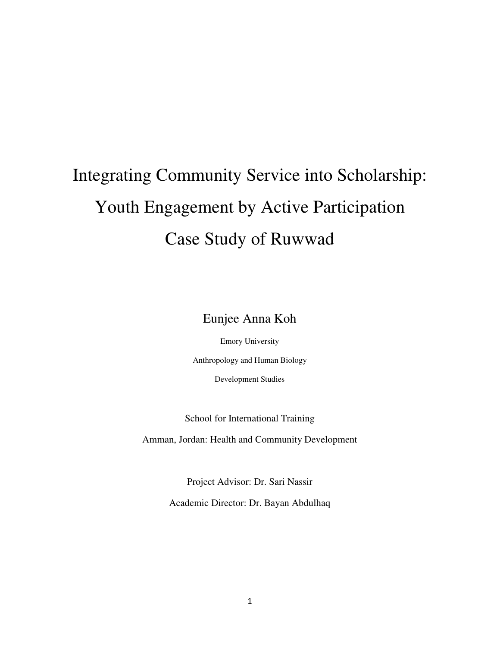# Integrating Community Service into Scholarship: Youth Engagement by Active Participation Case Study of Ruwwad

Eunjee Anna Koh

Emory University Anthropology and Human Biology Development Studies

School for International Training

Amman, Jordan: Health and Community Development

Project Advisor: Dr. Sari Nassir Academic Director: Dr. Bayan Abdulhaq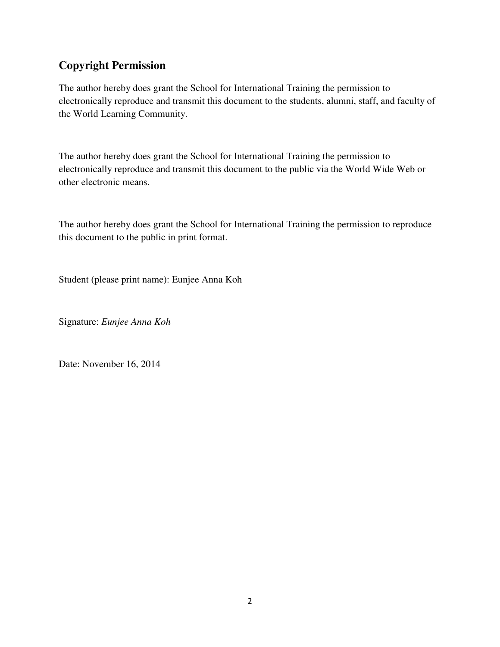# **Copyright Permission**

The author hereby does grant the School for International Training the permission to electronically reproduce and transmit this document to the students, alumni, staff, and faculty of the World Learning Community.

The author hereby does grant the School for International Training the permission to electronically reproduce and transmit this document to the public via the World Wide Web or other electronic means.

The author hereby does grant the School for International Training the permission to reproduce this document to the public in print format.

Student (please print name): Eunjee Anna Koh

Signature: *Eunjee Anna Koh*

Date: November 16, 2014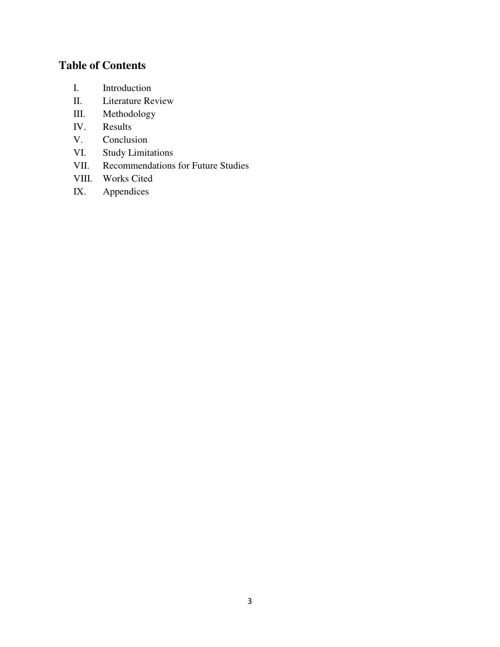# **Table of Contents**

- I. Introduction
- II. Literature Review
- III. Methodology
- IV. Results
- V. Conclusion
- VI. Study Limitations
- VII. Recommendations for Future Studies
- VIII. Works Cited
- IX. Appendices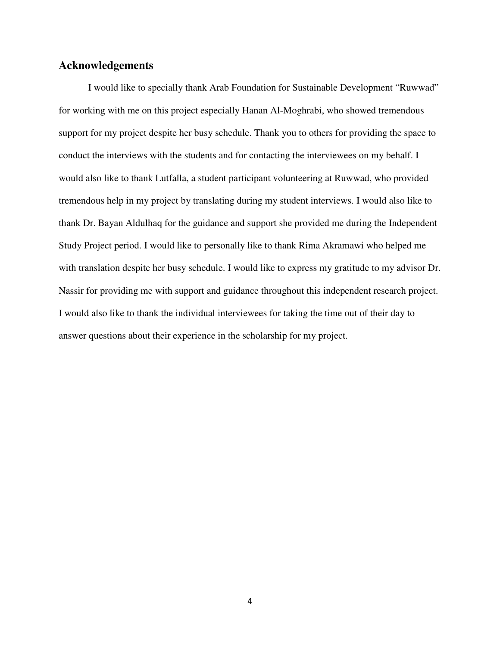# **Acknowledgements**

I would like to specially thank Arab Foundation for Sustainable Development "Ruwwad" for working with me on this project especially Hanan Al-Moghrabi, who showed tremendous support for my project despite her busy schedule. Thank you to others for providing the space to conduct the interviews with the students and for contacting the interviewees on my behalf. I would also like to thank Lutfalla, a student participant volunteering at Ruwwad, who provided tremendous help in my project by translating during my student interviews. I would also like to thank Dr. Bayan Aldulhaq for the guidance and support she provided me during the Independent Study Project period. I would like to personally like to thank Rima Akramawi who helped me with translation despite her busy schedule. I would like to express my gratitude to my advisor Dr. Nassir for providing me with support and guidance throughout this independent research project. I would also like to thank the individual interviewees for taking the time out of their day to answer questions about their experience in the scholarship for my project.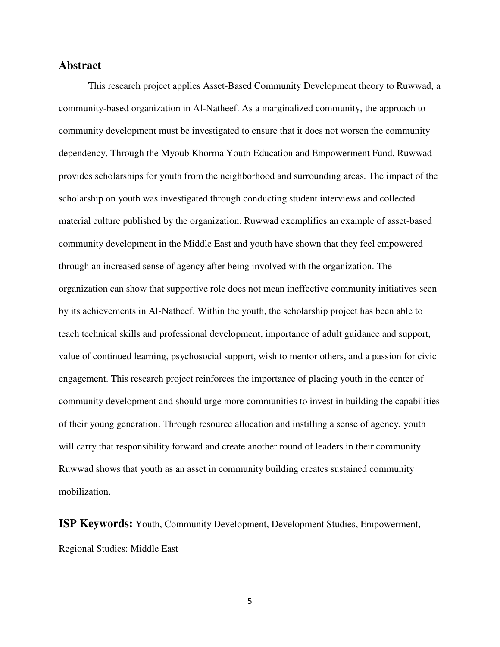#### **Abstract**

This research project applies Asset-Based Community Development theory to Ruwwad, a community-based organization in Al-Natheef. As a marginalized community, the approach to community development must be investigated to ensure that it does not worsen the community dependency. Through the Myoub Khorma Youth Education and Empowerment Fund, Ruwwad provides scholarships for youth from the neighborhood and surrounding areas. The impact of the scholarship on youth was investigated through conducting student interviews and collected material culture published by the organization. Ruwwad exemplifies an example of asset-based community development in the Middle East and youth have shown that they feel empowered through an increased sense of agency after being involved with the organization. The organization can show that supportive role does not mean ineffective community initiatives seen by its achievements in Al-Natheef. Within the youth, the scholarship project has been able to teach technical skills and professional development, importance of adult guidance and support, value of continued learning, psychosocial support, wish to mentor others, and a passion for civic engagement. This research project reinforces the importance of placing youth in the center of community development and should urge more communities to invest in building the capabilities of their young generation. Through resource allocation and instilling a sense of agency, youth will carry that responsibility forward and create another round of leaders in their community. Ruwwad shows that youth as an asset in community building creates sustained community mobilization.

**ISP Keywords:** Youth, Community Development, Development Studies, Empowerment, Regional Studies: Middle East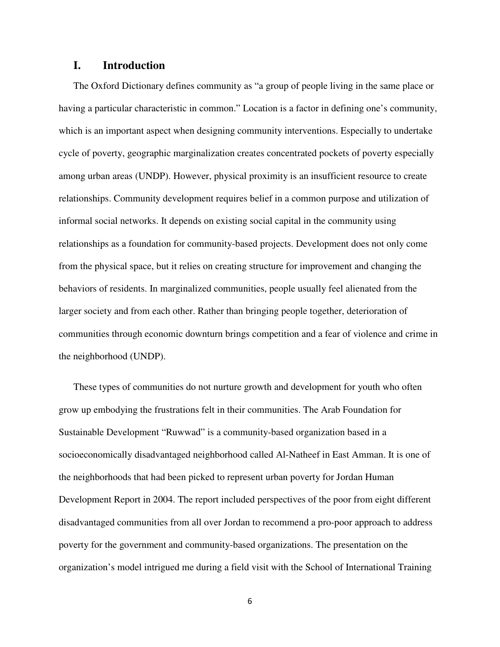# **I. Introduction**

The Oxford Dictionary defines community as "a group of people living in the same place or having a particular characteristic in common." Location is a factor in defining one's community, which is an important aspect when designing community interventions. Especially to undertake cycle of poverty, geographic marginalization creates concentrated pockets of poverty especially among urban areas (UNDP). However, physical proximity is an insufficient resource to create relationships. Community development requires belief in a common purpose and utilization of informal social networks. It depends on existing social capital in the community using relationships as a foundation for community-based projects. Development does not only come from the physical space, but it relies on creating structure for improvement and changing the behaviors of residents. In marginalized communities, people usually feel alienated from the larger society and from each other. Rather than bringing people together, deterioration of communities through economic downturn brings competition and a fear of violence and crime in the neighborhood (UNDP).

These types of communities do not nurture growth and development for youth who often grow up embodying the frustrations felt in their communities. The Arab Foundation for Sustainable Development "Ruwwad" is a community-based organization based in a socioeconomically disadvantaged neighborhood called Al-Natheef in East Amman. It is one of the neighborhoods that had been picked to represent urban poverty for Jordan Human Development Report in 2004. The report included perspectives of the poor from eight different disadvantaged communities from all over Jordan to recommend a pro-poor approach to address poverty for the government and community-based organizations. The presentation on the organization's model intrigued me during a field visit with the School of International Training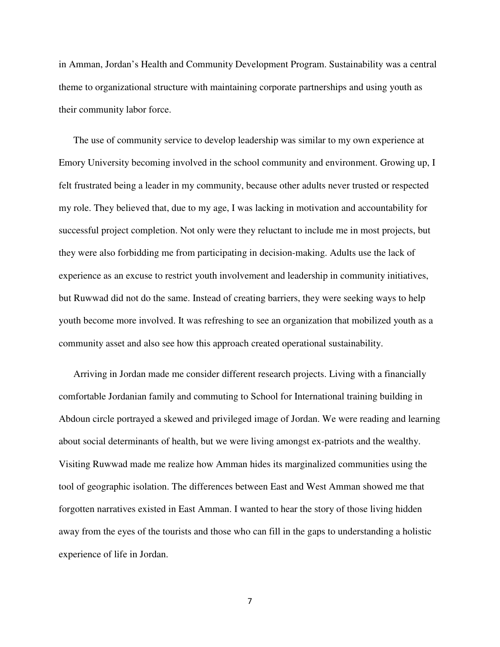in Amman, Jordan's Health and Community Development Program. Sustainability was a central theme to organizational structure with maintaining corporate partnerships and using youth as their community labor force.

The use of community service to develop leadership was similar to my own experience at Emory University becoming involved in the school community and environment. Growing up, I felt frustrated being a leader in my community, because other adults never trusted or respected my role. They believed that, due to my age, I was lacking in motivation and accountability for successful project completion. Not only were they reluctant to include me in most projects, but they were also forbidding me from participating in decision-making. Adults use the lack of experience as an excuse to restrict youth involvement and leadership in community initiatives, but Ruwwad did not do the same. Instead of creating barriers, they were seeking ways to help youth become more involved. It was refreshing to see an organization that mobilized youth as a community asset and also see how this approach created operational sustainability.

Arriving in Jordan made me consider different research projects. Living with a financially comfortable Jordanian family and commuting to School for International training building in Abdoun circle portrayed a skewed and privileged image of Jordan. We were reading and learning about social determinants of health, but we were living amongst ex-patriots and the wealthy. Visiting Ruwwad made me realize how Amman hides its marginalized communities using the tool of geographic isolation. The differences between East and West Amman showed me that forgotten narratives existed in East Amman. I wanted to hear the story of those living hidden away from the eyes of the tourists and those who can fill in the gaps to understanding a holistic experience of life in Jordan.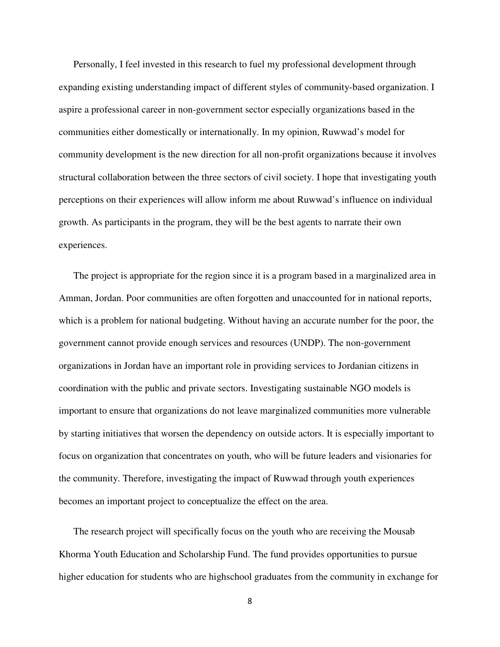Personally, I feel invested in this research to fuel my professional development through expanding existing understanding impact of different styles of community-based organization. I aspire a professional career in non-government sector especially organizations based in the communities either domestically or internationally. In my opinion, Ruwwad's model for community development is the new direction for all non-profit organizations because it involves structural collaboration between the three sectors of civil society. I hope that investigating youth perceptions on their experiences will allow inform me about Ruwwad's influence on individual growth. As participants in the program, they will be the best agents to narrate their own experiences.

The project is appropriate for the region since it is a program based in a marginalized area in Amman, Jordan. Poor communities are often forgotten and unaccounted for in national reports, which is a problem for national budgeting. Without having an accurate number for the poor, the government cannot provide enough services and resources (UNDP). The non-government organizations in Jordan have an important role in providing services to Jordanian citizens in coordination with the public and private sectors. Investigating sustainable NGO models is important to ensure that organizations do not leave marginalized communities more vulnerable by starting initiatives that worsen the dependency on outside actors. It is especially important to focus on organization that concentrates on youth, who will be future leaders and visionaries for the community. Therefore, investigating the impact of Ruwwad through youth experiences becomes an important project to conceptualize the effect on the area.

The research project will specifically focus on the youth who are receiving the Mousab Khorma Youth Education and Scholarship Fund. The fund provides opportunities to pursue higher education for students who are highschool graduates from the community in exchange for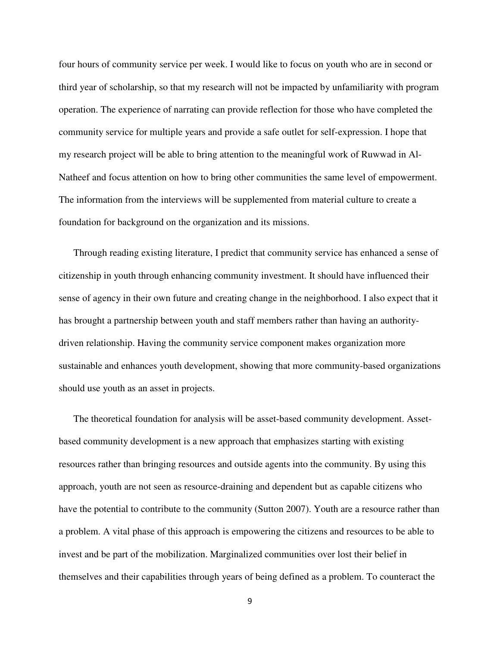four hours of community service per week. I would like to focus on youth who are in second or third year of scholarship, so that my research will not be impacted by unfamiliarity with program operation. The experience of narrating can provide reflection for those who have completed the community service for multiple years and provide a safe outlet for self-expression. I hope that my research project will be able to bring attention to the meaningful work of Ruwwad in Al-Natheef and focus attention on how to bring other communities the same level of empowerment. The information from the interviews will be supplemented from material culture to create a foundation for background on the organization and its missions.

Through reading existing literature, I predict that community service has enhanced a sense of citizenship in youth through enhancing community investment. It should have influenced their sense of agency in their own future and creating change in the neighborhood. I also expect that it has brought a partnership between youth and staff members rather than having an authoritydriven relationship. Having the community service component makes organization more sustainable and enhances youth development, showing that more community-based organizations should use youth as an asset in projects.

The theoretical foundation for analysis will be asset-based community development. Assetbased community development is a new approach that emphasizes starting with existing resources rather than bringing resources and outside agents into the community. By using this approach, youth are not seen as resource-draining and dependent but as capable citizens who have the potential to contribute to the community (Sutton 2007). Youth are a resource rather than a problem. A vital phase of this approach is empowering the citizens and resources to be able to invest and be part of the mobilization. Marginalized communities over lost their belief in themselves and their capabilities through years of being defined as a problem. To counteract the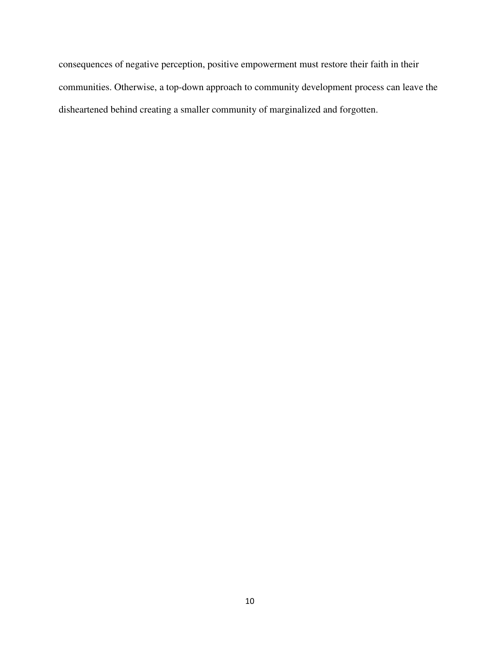consequences of negative perception, positive empowerment must restore their faith in their communities. Otherwise, a top-down approach to community development process can leave the disheartened behind creating a smaller community of marginalized and forgotten.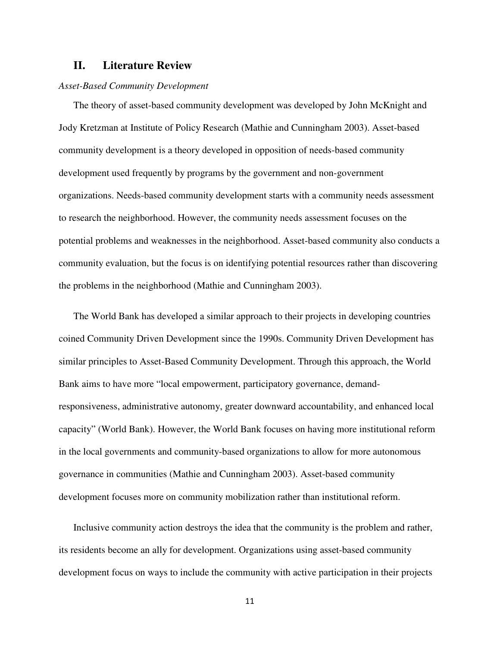# **II. Literature Review**

#### *Asset-Based Community Development*

The theory of asset-based community development was developed by John McKnight and Jody Kretzman at Institute of Policy Research (Mathie and Cunningham 2003). Asset-based community development is a theory developed in opposition of needs-based community development used frequently by programs by the government and non-government organizations. Needs-based community development starts with a community needs assessment to research the neighborhood. However, the community needs assessment focuses on the potential problems and weaknesses in the neighborhood. Asset-based community also conducts a community evaluation, but the focus is on identifying potential resources rather than discovering the problems in the neighborhood (Mathie and Cunningham 2003).

The World Bank has developed a similar approach to their projects in developing countries coined Community Driven Development since the 1990s. Community Driven Development has similar principles to Asset-Based Community Development. Through this approach, the World Bank aims to have more "local empowerment, participatory governance, demandresponsiveness, administrative autonomy, greater downward accountability, and enhanced local capacity" (World Bank). However, the World Bank focuses on having more institutional reform in the local governments and community-based organizations to allow for more autonomous governance in communities (Mathie and Cunningham 2003). Asset-based community development focuses more on community mobilization rather than institutional reform.

Inclusive community action destroys the idea that the community is the problem and rather, its residents become an ally for development. Organizations using asset-based community development focus on ways to include the community with active participation in their projects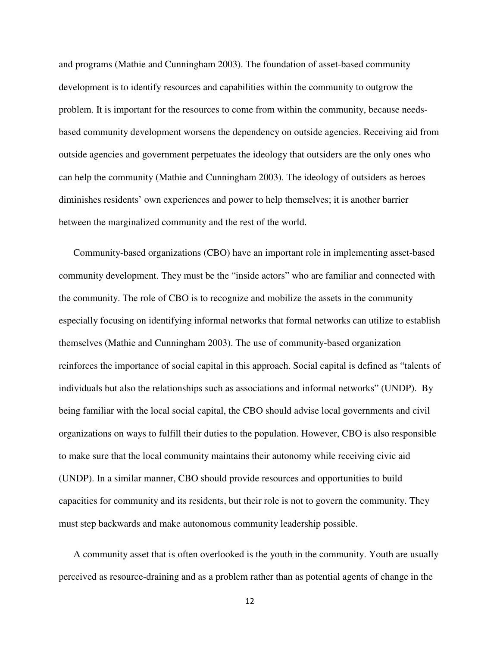and programs (Mathie and Cunningham 2003). The foundation of asset-based community development is to identify resources and capabilities within the community to outgrow the problem. It is important for the resources to come from within the community, because needsbased community development worsens the dependency on outside agencies. Receiving aid from outside agencies and government perpetuates the ideology that outsiders are the only ones who can help the community (Mathie and Cunningham 2003). The ideology of outsiders as heroes diminishes residents' own experiences and power to help themselves; it is another barrier between the marginalized community and the rest of the world.

Community-based organizations (CBO) have an important role in implementing asset-based community development. They must be the "inside actors" who are familiar and connected with the community. The role of CBO is to recognize and mobilize the assets in the community especially focusing on identifying informal networks that formal networks can utilize to establish themselves (Mathie and Cunningham 2003). The use of community-based organization reinforces the importance of social capital in this approach. Social capital is defined as "talents of individuals but also the relationships such as associations and informal networks" (UNDP). By being familiar with the local social capital, the CBO should advise local governments and civil organizations on ways to fulfill their duties to the population. However, CBO is also responsible to make sure that the local community maintains their autonomy while receiving civic aid (UNDP). In a similar manner, CBO should provide resources and opportunities to build capacities for community and its residents, but their role is not to govern the community. They must step backwards and make autonomous community leadership possible.

A community asset that is often overlooked is the youth in the community. Youth are usually perceived as resource-draining and as a problem rather than as potential agents of change in the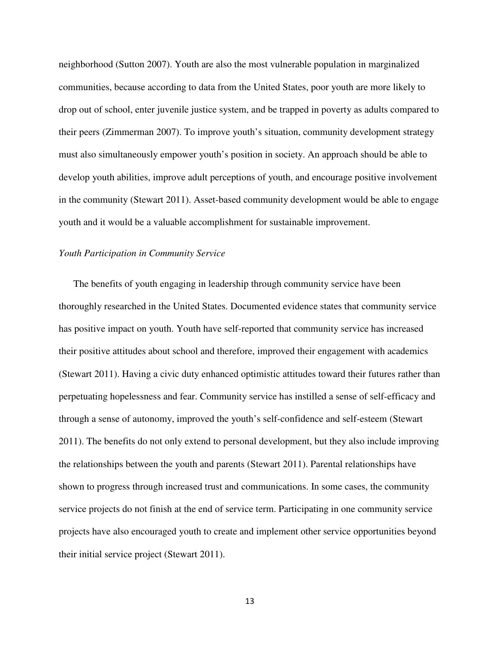neighborhood (Sutton 2007). Youth are also the most vulnerable population in marginalized communities, because according to data from the United States, poor youth are more likely to drop out of school, enter juvenile justice system, and be trapped in poverty as adults compared to their peers (Zimmerman 2007). To improve youth's situation, community development strategy must also simultaneously empower youth's position in society. An approach should be able to develop youth abilities, improve adult perceptions of youth, and encourage positive involvement in the community (Stewart 2011). Asset-based community development would be able to engage youth and it would be a valuable accomplishment for sustainable improvement.

#### *Youth Participation in Community Service*

The benefits of youth engaging in leadership through community service have been thoroughly researched in the United States. Documented evidence states that community service has positive impact on youth. Youth have self-reported that community service has increased their positive attitudes about school and therefore, improved their engagement with academics (Stewart 2011). Having a civic duty enhanced optimistic attitudes toward their futures rather than perpetuating hopelessness and fear. Community service has instilled a sense of self-efficacy and through a sense of autonomy, improved the youth's self-confidence and self-esteem (Stewart 2011). The benefits do not only extend to personal development, but they also include improving the relationships between the youth and parents (Stewart 2011). Parental relationships have shown to progress through increased trust and communications. In some cases, the community service projects do not finish at the end of service term. Participating in one community service projects have also encouraged youth to create and implement other service opportunities beyond their initial service project (Stewart 2011).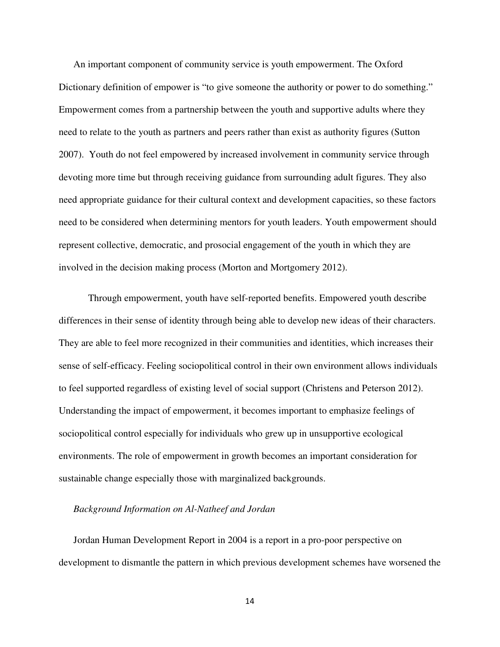An important component of community service is youth empowerment. The Oxford Dictionary definition of empower is "to give someone the authority or power to do something." Empowerment comes from a partnership between the youth and supportive adults where they need to relate to the youth as partners and peers rather than exist as authority figures (Sutton 2007). Youth do not feel empowered by increased involvement in community service through devoting more time but through receiving guidance from surrounding adult figures. They also need appropriate guidance for their cultural context and development capacities, so these factors need to be considered when determining mentors for youth leaders. Youth empowerment should represent collective, democratic, and prosocial engagement of the youth in which they are involved in the decision making process (Morton and Mortgomery 2012).

 Through empowerment, youth have self-reported benefits. Empowered youth describe differences in their sense of identity through being able to develop new ideas of their characters. They are able to feel more recognized in their communities and identities, which increases their sense of self-efficacy. Feeling sociopolitical control in their own environment allows individuals to feel supported regardless of existing level of social support (Christens and Peterson 2012). Understanding the impact of empowerment, it becomes important to emphasize feelings of sociopolitical control especially for individuals who grew up in unsupportive ecological environments. The role of empowerment in growth becomes an important consideration for sustainable change especially those with marginalized backgrounds.

#### *Background Information on Al-Natheef and Jordan*

Jordan Human Development Report in 2004 is a report in a pro-poor perspective on development to dismantle the pattern in which previous development schemes have worsened the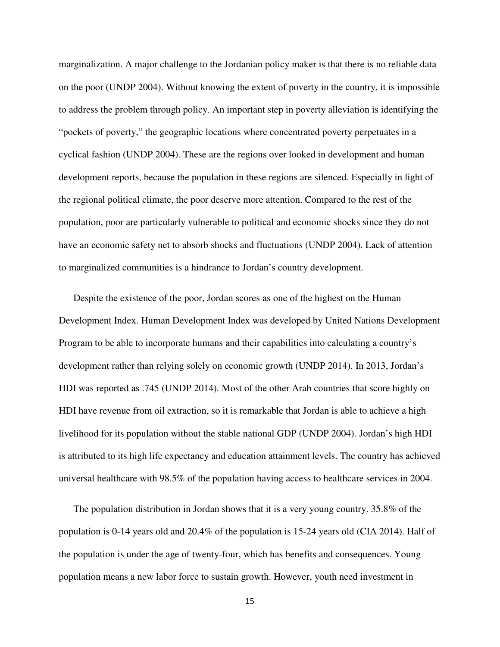marginalization. A major challenge to the Jordanian policy maker is that there is no reliable data on the poor (UNDP 2004). Without knowing the extent of poverty in the country, it is impossible to address the problem through policy. An important step in poverty alleviation is identifying the "pockets of poverty," the geographic locations where concentrated poverty perpetuates in a cyclical fashion (UNDP 2004). These are the regions over looked in development and human development reports, because the population in these regions are silenced. Especially in light of the regional political climate, the poor deserve more attention. Compared to the rest of the population, poor are particularly vulnerable to political and economic shocks since they do not have an economic safety net to absorb shocks and fluctuations (UNDP 2004). Lack of attention to marginalized communities is a hindrance to Jordan's country development.

Despite the existence of the poor, Jordan scores as one of the highest on the Human Development Index. Human Development Index was developed by United Nations Development Program to be able to incorporate humans and their capabilities into calculating a country's development rather than relying solely on economic growth (UNDP 2014). In 2013, Jordan's HDI was reported as .745 (UNDP 2014). Most of the other Arab countries that score highly on HDI have revenue from oil extraction, so it is remarkable that Jordan is able to achieve a high livelihood for its population without the stable national GDP (UNDP 2004). Jordan's high HDI is attributed to its high life expectancy and education attainment levels. The country has achieved universal healthcare with 98.5% of the population having access to healthcare services in 2004.

The population distribution in Jordan shows that it is a very young country. 35.8% of the population is 0-14 years old and 20.4% of the population is 15-24 years old (CIA 2014). Half of the population is under the age of twenty-four, which has benefits and consequences. Young population means a new labor force to sustain growth. However, youth need investment in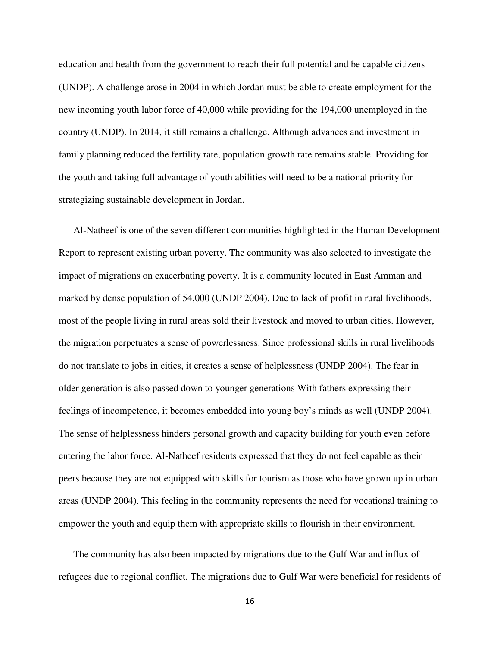education and health from the government to reach their full potential and be capable citizens (UNDP). A challenge arose in 2004 in which Jordan must be able to create employment for the new incoming youth labor force of 40,000 while providing for the 194,000 unemployed in the country (UNDP). In 2014, it still remains a challenge. Although advances and investment in family planning reduced the fertility rate, population growth rate remains stable. Providing for the youth and taking full advantage of youth abilities will need to be a national priority for strategizing sustainable development in Jordan.

Al-Natheef is one of the seven different communities highlighted in the Human Development Report to represent existing urban poverty. The community was also selected to investigate the impact of migrations on exacerbating poverty. It is a community located in East Amman and marked by dense population of 54,000 (UNDP 2004). Due to lack of profit in rural livelihoods, most of the people living in rural areas sold their livestock and moved to urban cities. However, the migration perpetuates a sense of powerlessness. Since professional skills in rural livelihoods do not translate to jobs in cities, it creates a sense of helplessness (UNDP 2004). The fear in older generation is also passed down to younger generations With fathers expressing their feelings of incompetence, it becomes embedded into young boy's minds as well (UNDP 2004). The sense of helplessness hinders personal growth and capacity building for youth even before entering the labor force. Al-Natheef residents expressed that they do not feel capable as their peers because they are not equipped with skills for tourism as those who have grown up in urban areas (UNDP 2004). This feeling in the community represents the need for vocational training to empower the youth and equip them with appropriate skills to flourish in their environment.

The community has also been impacted by migrations due to the Gulf War and influx of refugees due to regional conflict. The migrations due to Gulf War were beneficial for residents of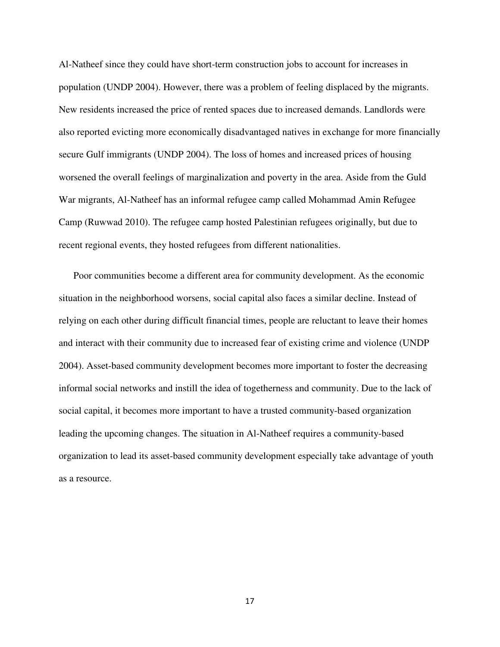Al-Natheef since they could have short-term construction jobs to account for increases in population (UNDP 2004). However, there was a problem of feeling displaced by the migrants. New residents increased the price of rented spaces due to increased demands. Landlords were also reported evicting more economically disadvantaged natives in exchange for more financially secure Gulf immigrants (UNDP 2004). The loss of homes and increased prices of housing worsened the overall feelings of marginalization and poverty in the area. Aside from the Guld War migrants, Al-Natheef has an informal refugee camp called Mohammad Amin Refugee Camp (Ruwwad 2010). The refugee camp hosted Palestinian refugees originally, but due to recent regional events, they hosted refugees from different nationalities.

Poor communities become a different area for community development. As the economic situation in the neighborhood worsens, social capital also faces a similar decline. Instead of relying on each other during difficult financial times, people are reluctant to leave their homes and interact with their community due to increased fear of existing crime and violence (UNDP 2004). Asset-based community development becomes more important to foster the decreasing informal social networks and instill the idea of togetherness and community. Due to the lack of social capital, it becomes more important to have a trusted community-based organization leading the upcoming changes. The situation in Al-Natheef requires a community-based organization to lead its asset-based community development especially take advantage of youth as a resource.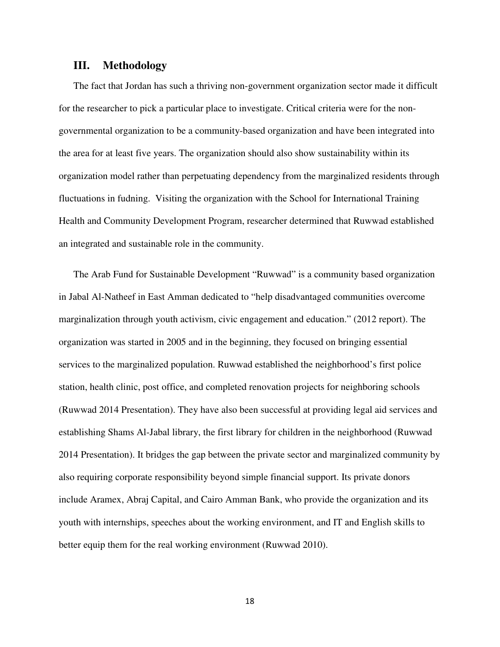#### **III. Methodology**

The fact that Jordan has such a thriving non-government organization sector made it difficult for the researcher to pick a particular place to investigate. Critical criteria were for the nongovernmental organization to be a community-based organization and have been integrated into the area for at least five years. The organization should also show sustainability within its organization model rather than perpetuating dependency from the marginalized residents through fluctuations in fudning. Visiting the organization with the School for International Training Health and Community Development Program, researcher determined that Ruwwad established an integrated and sustainable role in the community.

The Arab Fund for Sustainable Development "Ruwwad" is a community based organization in Jabal Al-Natheef in East Amman dedicated to "help disadvantaged communities overcome marginalization through youth activism, civic engagement and education." (2012 report). The organization was started in 2005 and in the beginning, they focused on bringing essential services to the marginalized population. Ruwwad established the neighborhood's first police station, health clinic, post office, and completed renovation projects for neighboring schools (Ruwwad 2014 Presentation). They have also been successful at providing legal aid services and establishing Shams Al-Jabal library, the first library for children in the neighborhood (Ruwwad 2014 Presentation). It bridges the gap between the private sector and marginalized community by also requiring corporate responsibility beyond simple financial support. Its private donors include Aramex, Abraj Capital, and Cairo Amman Bank, who provide the organization and its youth with internships, speeches about the working environment, and IT and English skills to better equip them for the real working environment (Ruwwad 2010).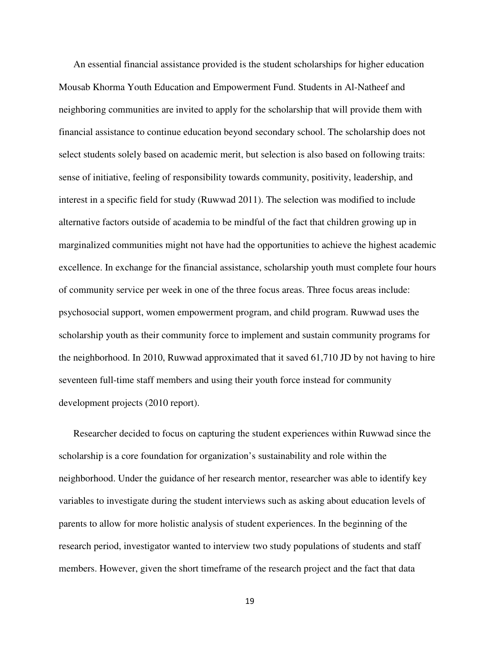An essential financial assistance provided is the student scholarships for higher education Mousab Khorma Youth Education and Empowerment Fund. Students in Al-Natheef and neighboring communities are invited to apply for the scholarship that will provide them with financial assistance to continue education beyond secondary school. The scholarship does not select students solely based on academic merit, but selection is also based on following traits: sense of initiative, feeling of responsibility towards community, positivity, leadership, and interest in a specific field for study (Ruwwad 2011). The selection was modified to include alternative factors outside of academia to be mindful of the fact that children growing up in marginalized communities might not have had the opportunities to achieve the highest academic excellence. In exchange for the financial assistance, scholarship youth must complete four hours of community service per week in one of the three focus areas. Three focus areas include: psychosocial support, women empowerment program, and child program. Ruwwad uses the scholarship youth as their community force to implement and sustain community programs for the neighborhood. In 2010, Ruwwad approximated that it saved 61,710 JD by not having to hire seventeen full-time staff members and using their youth force instead for community development projects (2010 report).

Researcher decided to focus on capturing the student experiences within Ruwwad since the scholarship is a core foundation for organization's sustainability and role within the neighborhood. Under the guidance of her research mentor, researcher was able to identify key variables to investigate during the student interviews such as asking about education levels of parents to allow for more holistic analysis of student experiences. In the beginning of the research period, investigator wanted to interview two study populations of students and staff members. However, given the short timeframe of the research project and the fact that data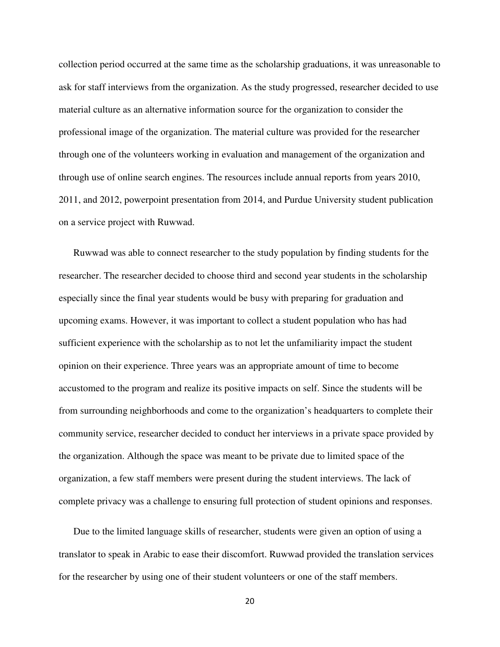collection period occurred at the same time as the scholarship graduations, it was unreasonable to ask for staff interviews from the organization. As the study progressed, researcher decided to use material culture as an alternative information source for the organization to consider the professional image of the organization. The material culture was provided for the researcher through one of the volunteers working in evaluation and management of the organization and through use of online search engines. The resources include annual reports from years 2010, 2011, and 2012, powerpoint presentation from 2014, and Purdue University student publication on a service project with Ruwwad.

Ruwwad was able to connect researcher to the study population by finding students for the researcher. The researcher decided to choose third and second year students in the scholarship especially since the final year students would be busy with preparing for graduation and upcoming exams. However, it was important to collect a student population who has had sufficient experience with the scholarship as to not let the unfamiliarity impact the student opinion on their experience. Three years was an appropriate amount of time to become accustomed to the program and realize its positive impacts on self. Since the students will be from surrounding neighborhoods and come to the organization's headquarters to complete their community service, researcher decided to conduct her interviews in a private space provided by the organization. Although the space was meant to be private due to limited space of the organization, a few staff members were present during the student interviews. The lack of complete privacy was a challenge to ensuring full protection of student opinions and responses.

Due to the limited language skills of researcher, students were given an option of using a translator to speak in Arabic to ease their discomfort. Ruwwad provided the translation services for the researcher by using one of their student volunteers or one of the staff members.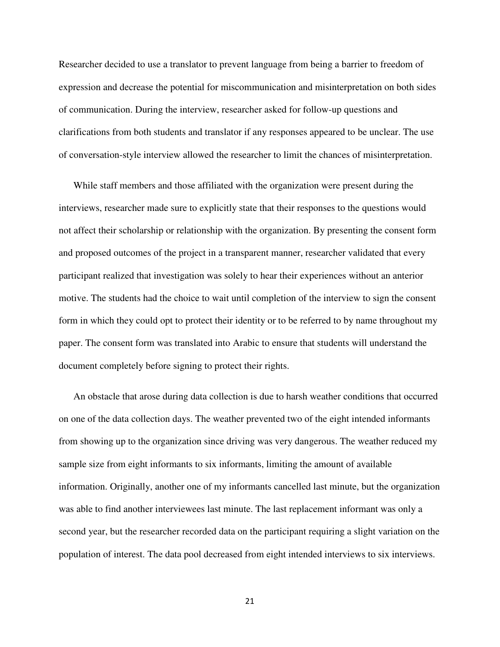Researcher decided to use a translator to prevent language from being a barrier to freedom of expression and decrease the potential for miscommunication and misinterpretation on both sides of communication. During the interview, researcher asked for follow-up questions and clarifications from both students and translator if any responses appeared to be unclear. The use of conversation-style interview allowed the researcher to limit the chances of misinterpretation.

While staff members and those affiliated with the organization were present during the interviews, researcher made sure to explicitly state that their responses to the questions would not affect their scholarship or relationship with the organization. By presenting the consent form and proposed outcomes of the project in a transparent manner, researcher validated that every participant realized that investigation was solely to hear their experiences without an anterior motive. The students had the choice to wait until completion of the interview to sign the consent form in which they could opt to protect their identity or to be referred to by name throughout my paper. The consent form was translated into Arabic to ensure that students will understand the document completely before signing to protect their rights.

An obstacle that arose during data collection is due to harsh weather conditions that occurred on one of the data collection days. The weather prevented two of the eight intended informants from showing up to the organization since driving was very dangerous. The weather reduced my sample size from eight informants to six informants, limiting the amount of available information. Originally, another one of my informants cancelled last minute, but the organization was able to find another interviewees last minute. The last replacement informant was only a second year, but the researcher recorded data on the participant requiring a slight variation on the population of interest. The data pool decreased from eight intended interviews to six interviews.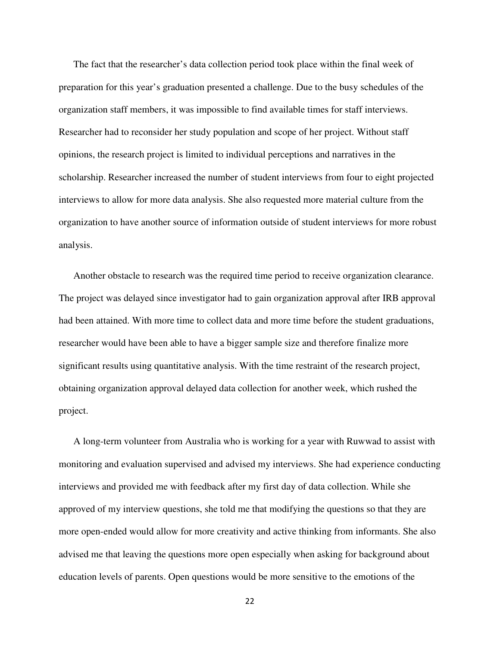The fact that the researcher's data collection period took place within the final week of preparation for this year's graduation presented a challenge. Due to the busy schedules of the organization staff members, it was impossible to find available times for staff interviews. Researcher had to reconsider her study population and scope of her project. Without staff opinions, the research project is limited to individual perceptions and narratives in the scholarship. Researcher increased the number of student interviews from four to eight projected interviews to allow for more data analysis. She also requested more material culture from the organization to have another source of information outside of student interviews for more robust analysis.

Another obstacle to research was the required time period to receive organization clearance. The project was delayed since investigator had to gain organization approval after IRB approval had been attained. With more time to collect data and more time before the student graduations, researcher would have been able to have a bigger sample size and therefore finalize more significant results using quantitative analysis. With the time restraint of the research project, obtaining organization approval delayed data collection for another week, which rushed the project.

A long-term volunteer from Australia who is working for a year with Ruwwad to assist with monitoring and evaluation supervised and advised my interviews. She had experience conducting interviews and provided me with feedback after my first day of data collection. While she approved of my interview questions, she told me that modifying the questions so that they are more open-ended would allow for more creativity and active thinking from informants. She also advised me that leaving the questions more open especially when asking for background about education levels of parents. Open questions would be more sensitive to the emotions of the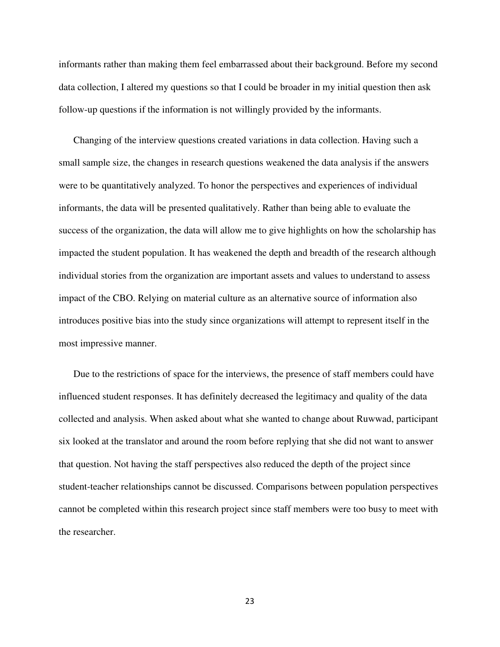informants rather than making them feel embarrassed about their background. Before my second data collection, I altered my questions so that I could be broader in my initial question then ask follow-up questions if the information is not willingly provided by the informants.

Changing of the interview questions created variations in data collection. Having such a small sample size, the changes in research questions weakened the data analysis if the answers were to be quantitatively analyzed. To honor the perspectives and experiences of individual informants, the data will be presented qualitatively. Rather than being able to evaluate the success of the organization, the data will allow me to give highlights on how the scholarship has impacted the student population. It has weakened the depth and breadth of the research although individual stories from the organization are important assets and values to understand to assess impact of the CBO. Relying on material culture as an alternative source of information also introduces positive bias into the study since organizations will attempt to represent itself in the most impressive manner.

Due to the restrictions of space for the interviews, the presence of staff members could have influenced student responses. It has definitely decreased the legitimacy and quality of the data collected and analysis. When asked about what she wanted to change about Ruwwad, participant six looked at the translator and around the room before replying that she did not want to answer that question. Not having the staff perspectives also reduced the depth of the project since student-teacher relationships cannot be discussed. Comparisons between population perspectives cannot be completed within this research project since staff members were too busy to meet with the researcher.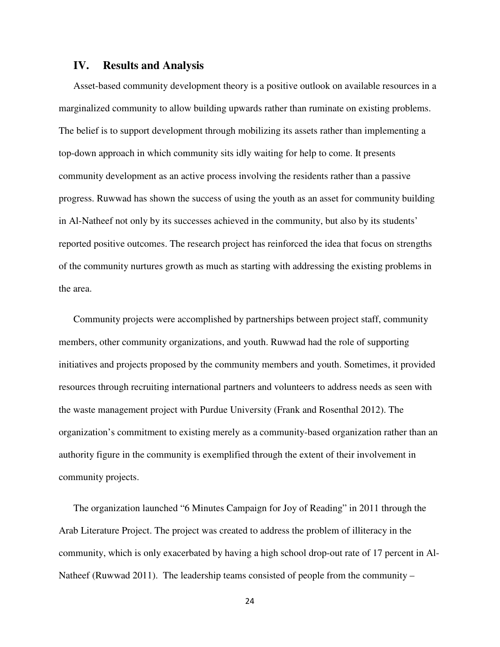#### **IV. Results and Analysis**

Asset-based community development theory is a positive outlook on available resources in a marginalized community to allow building upwards rather than ruminate on existing problems. The belief is to support development through mobilizing its assets rather than implementing a top-down approach in which community sits idly waiting for help to come. It presents community development as an active process involving the residents rather than a passive progress. Ruwwad has shown the success of using the youth as an asset for community building in Al-Natheef not only by its successes achieved in the community, but also by its students' reported positive outcomes. The research project has reinforced the idea that focus on strengths of the community nurtures growth as much as starting with addressing the existing problems in the area.

Community projects were accomplished by partnerships between project staff, community members, other community organizations, and youth. Ruwwad had the role of supporting initiatives and projects proposed by the community members and youth. Sometimes, it provided resources through recruiting international partners and volunteers to address needs as seen with the waste management project with Purdue University (Frank and Rosenthal 2012). The organization's commitment to existing merely as a community-based organization rather than an authority figure in the community is exemplified through the extent of their involvement in community projects.

The organization launched "6 Minutes Campaign for Joy of Reading" in 2011 through the Arab Literature Project. The project was created to address the problem of illiteracy in the community, which is only exacerbated by having a high school drop-out rate of 17 percent in Al-Natheef (Ruwwad 2011). The leadership teams consisted of people from the community –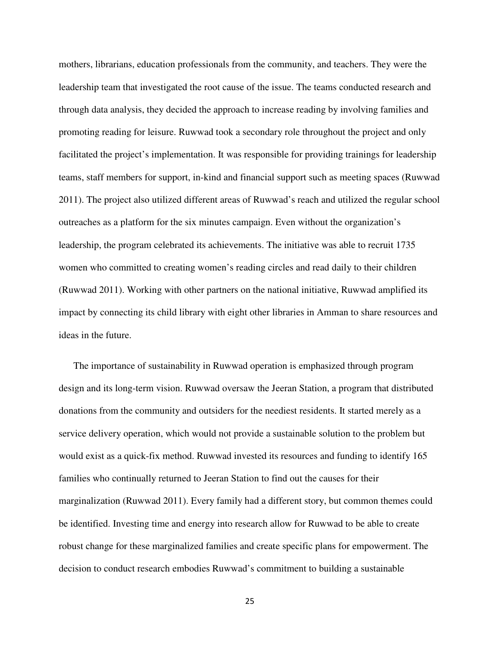mothers, librarians, education professionals from the community, and teachers. They were the leadership team that investigated the root cause of the issue. The teams conducted research and through data analysis, they decided the approach to increase reading by involving families and promoting reading for leisure. Ruwwad took a secondary role throughout the project and only facilitated the project's implementation. It was responsible for providing trainings for leadership teams, staff members for support, in-kind and financial support such as meeting spaces (Ruwwad 2011). The project also utilized different areas of Ruwwad's reach and utilized the regular school outreaches as a platform for the six minutes campaign. Even without the organization's leadership, the program celebrated its achievements. The initiative was able to recruit 1735 women who committed to creating women's reading circles and read daily to their children (Ruwwad 2011). Working with other partners on the national initiative, Ruwwad amplified its impact by connecting its child library with eight other libraries in Amman to share resources and ideas in the future.

The importance of sustainability in Ruwwad operation is emphasized through program design and its long-term vision. Ruwwad oversaw the Jeeran Station, a program that distributed donations from the community and outsiders for the neediest residents. It started merely as a service delivery operation, which would not provide a sustainable solution to the problem but would exist as a quick-fix method. Ruwwad invested its resources and funding to identify 165 families who continually returned to Jeeran Station to find out the causes for their marginalization (Ruwwad 2011). Every family had a different story, but common themes could be identified. Investing time and energy into research allow for Ruwwad to be able to create robust change for these marginalized families and create specific plans for empowerment. The decision to conduct research embodies Ruwwad's commitment to building a sustainable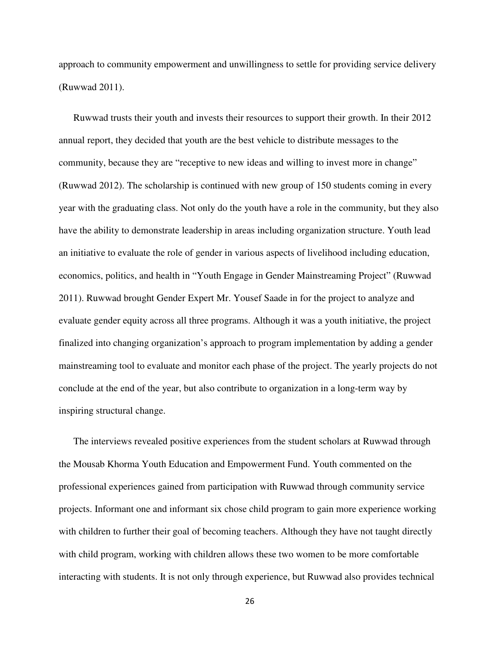approach to community empowerment and unwillingness to settle for providing service delivery (Ruwwad 2011).

Ruwwad trusts their youth and invests their resources to support their growth. In their 2012 annual report, they decided that youth are the best vehicle to distribute messages to the community, because they are "receptive to new ideas and willing to invest more in change" (Ruwwad 2012). The scholarship is continued with new group of 150 students coming in every year with the graduating class. Not only do the youth have a role in the community, but they also have the ability to demonstrate leadership in areas including organization structure. Youth lead an initiative to evaluate the role of gender in various aspects of livelihood including education, economics, politics, and health in "Youth Engage in Gender Mainstreaming Project" (Ruwwad 2011). Ruwwad brought Gender Expert Mr. Yousef Saade in for the project to analyze and evaluate gender equity across all three programs. Although it was a youth initiative, the project finalized into changing organization's approach to program implementation by adding a gender mainstreaming tool to evaluate and monitor each phase of the project. The yearly projects do not conclude at the end of the year, but also contribute to organization in a long-term way by inspiring structural change.

The interviews revealed positive experiences from the student scholars at Ruwwad through the Mousab Khorma Youth Education and Empowerment Fund. Youth commented on the professional experiences gained from participation with Ruwwad through community service projects. Informant one and informant six chose child program to gain more experience working with children to further their goal of becoming teachers. Although they have not taught directly with child program, working with children allows these two women to be more comfortable interacting with students. It is not only through experience, but Ruwwad also provides technical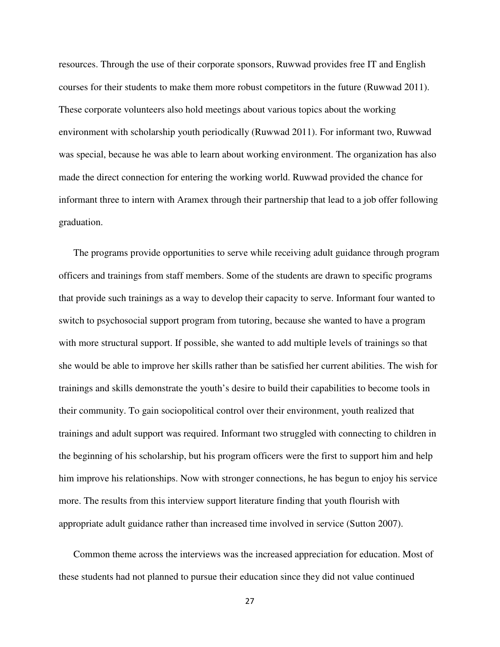resources. Through the use of their corporate sponsors, Ruwwad provides free IT and English courses for their students to make them more robust competitors in the future (Ruwwad 2011). These corporate volunteers also hold meetings about various topics about the working environment with scholarship youth periodically (Ruwwad 2011). For informant two, Ruwwad was special, because he was able to learn about working environment. The organization has also made the direct connection for entering the working world. Ruwwad provided the chance for informant three to intern with Aramex through their partnership that lead to a job offer following graduation.

The programs provide opportunities to serve while receiving adult guidance through program officers and trainings from staff members. Some of the students are drawn to specific programs that provide such trainings as a way to develop their capacity to serve. Informant four wanted to switch to psychosocial support program from tutoring, because she wanted to have a program with more structural support. If possible, she wanted to add multiple levels of trainings so that she would be able to improve her skills rather than be satisfied her current abilities. The wish for trainings and skills demonstrate the youth's desire to build their capabilities to become tools in their community. To gain sociopolitical control over their environment, youth realized that trainings and adult support was required. Informant two struggled with connecting to children in the beginning of his scholarship, but his program officers were the first to support him and help him improve his relationships. Now with stronger connections, he has begun to enjoy his service more. The results from this interview support literature finding that youth flourish with appropriate adult guidance rather than increased time involved in service (Sutton 2007).

Common theme across the interviews was the increased appreciation for education. Most of these students had not planned to pursue their education since they did not value continued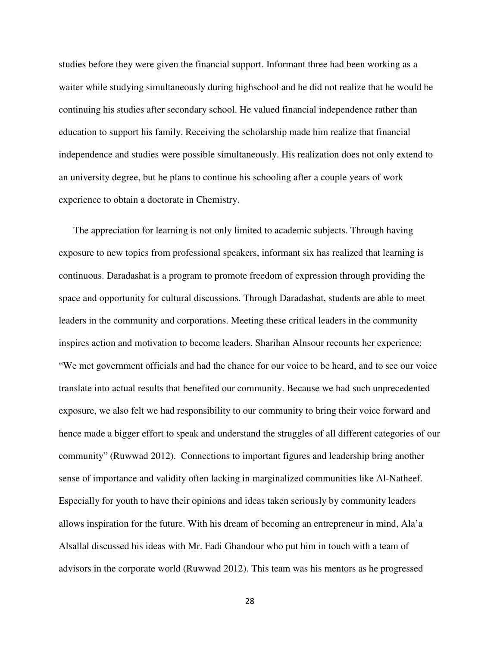studies before they were given the financial support. Informant three had been working as a waiter while studying simultaneously during highschool and he did not realize that he would be continuing his studies after secondary school. He valued financial independence rather than education to support his family. Receiving the scholarship made him realize that financial independence and studies were possible simultaneously. His realization does not only extend to an university degree, but he plans to continue his schooling after a couple years of work experience to obtain a doctorate in Chemistry.

The appreciation for learning is not only limited to academic subjects. Through having exposure to new topics from professional speakers, informant six has realized that learning is continuous. Daradashat is a program to promote freedom of expression through providing the space and opportunity for cultural discussions. Through Daradashat, students are able to meet leaders in the community and corporations. Meeting these critical leaders in the community inspires action and motivation to become leaders. Sharihan Alnsour recounts her experience: "We met government officials and had the chance for our voice to be heard, and to see our voice translate into actual results that benefited our community. Because we had such unprecedented exposure, we also felt we had responsibility to our community to bring their voice forward and hence made a bigger effort to speak and understand the struggles of all different categories of our community" (Ruwwad 2012). Connections to important figures and leadership bring another sense of importance and validity often lacking in marginalized communities like Al-Natheef. Especially for youth to have their opinions and ideas taken seriously by community leaders allows inspiration for the future. With his dream of becoming an entrepreneur in mind, Ala'a Alsallal discussed his ideas with Mr. Fadi Ghandour who put him in touch with a team of advisors in the corporate world (Ruwwad 2012). This team was his mentors as he progressed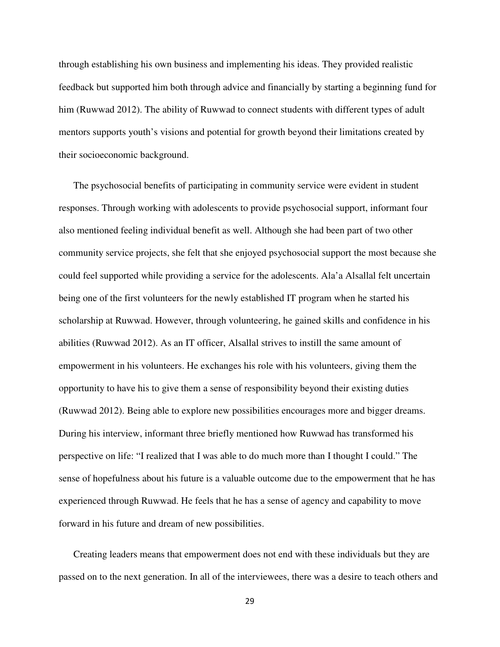through establishing his own business and implementing his ideas. They provided realistic feedback but supported him both through advice and financially by starting a beginning fund for him (Ruwwad 2012). The ability of Ruwwad to connect students with different types of adult mentors supports youth's visions and potential for growth beyond their limitations created by their socioeconomic background.

The psychosocial benefits of participating in community service were evident in student responses. Through working with adolescents to provide psychosocial support, informant four also mentioned feeling individual benefit as well. Although she had been part of two other community service projects, she felt that she enjoyed psychosocial support the most because she could feel supported while providing a service for the adolescents. Ala'a Alsallal felt uncertain being one of the first volunteers for the newly established IT program when he started his scholarship at Ruwwad. However, through volunteering, he gained skills and confidence in his abilities (Ruwwad 2012). As an IT officer, Alsallal strives to instill the same amount of empowerment in his volunteers. He exchanges his role with his volunteers, giving them the opportunity to have his to give them a sense of responsibility beyond their existing duties (Ruwwad 2012). Being able to explore new possibilities encourages more and bigger dreams. During his interview, informant three briefly mentioned how Ruwwad has transformed his perspective on life: "I realized that I was able to do much more than I thought I could." The sense of hopefulness about his future is a valuable outcome due to the empowerment that he has experienced through Ruwwad. He feels that he has a sense of agency and capability to move forward in his future and dream of new possibilities.

Creating leaders means that empowerment does not end with these individuals but they are passed on to the next generation. In all of the interviewees, there was a desire to teach others and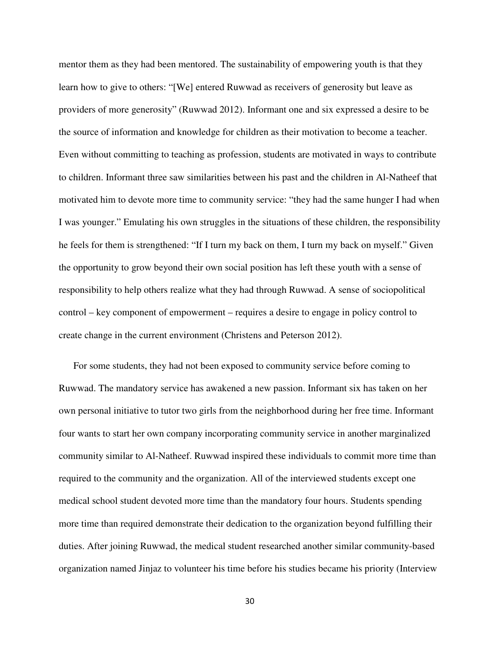mentor them as they had been mentored. The sustainability of empowering youth is that they learn how to give to others: "[We] entered Ruwwad as receivers of generosity but leave as providers of more generosity" (Ruwwad 2012). Informant one and six expressed a desire to be the source of information and knowledge for children as their motivation to become a teacher. Even without committing to teaching as profession, students are motivated in ways to contribute to children. Informant three saw similarities between his past and the children in Al-Natheef that motivated him to devote more time to community service: "they had the same hunger I had when I was younger." Emulating his own struggles in the situations of these children, the responsibility he feels for them is strengthened: "If I turn my back on them, I turn my back on myself." Given the opportunity to grow beyond their own social position has left these youth with a sense of responsibility to help others realize what they had through Ruwwad. A sense of sociopolitical control – key component of empowerment – requires a desire to engage in policy control to create change in the current environment (Christens and Peterson 2012).

For some students, they had not been exposed to community service before coming to Ruwwad. The mandatory service has awakened a new passion. Informant six has taken on her own personal initiative to tutor two girls from the neighborhood during her free time. Informant four wants to start her own company incorporating community service in another marginalized community similar to Al-Natheef. Ruwwad inspired these individuals to commit more time than required to the community and the organization. All of the interviewed students except one medical school student devoted more time than the mandatory four hours. Students spending more time than required demonstrate their dedication to the organization beyond fulfilling their duties. After joining Ruwwad, the medical student researched another similar community-based organization named Jinjaz to volunteer his time before his studies became his priority (Interview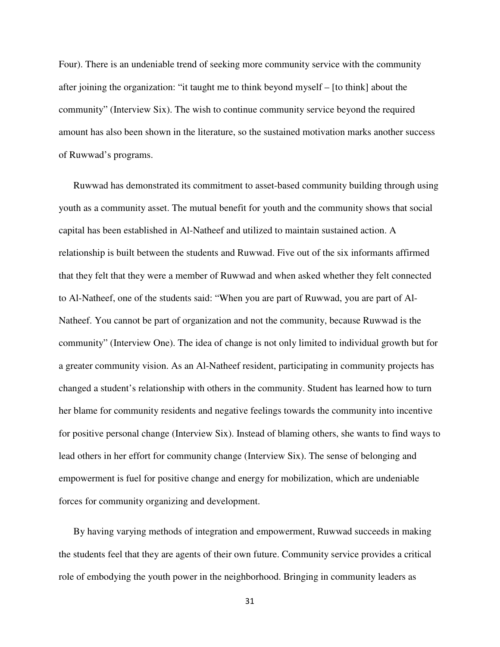Four). There is an undeniable trend of seeking more community service with the community after joining the organization: "it taught me to think beyond myself – [to think] about the community" (Interview Six). The wish to continue community service beyond the required amount has also been shown in the literature, so the sustained motivation marks another success of Ruwwad's programs.

Ruwwad has demonstrated its commitment to asset-based community building through using youth as a community asset. The mutual benefit for youth and the community shows that social capital has been established in Al-Natheef and utilized to maintain sustained action. A relationship is built between the students and Ruwwad. Five out of the six informants affirmed that they felt that they were a member of Ruwwad and when asked whether they felt connected to Al-Natheef, one of the students said: "When you are part of Ruwwad, you are part of Al-Natheef. You cannot be part of organization and not the community, because Ruwwad is the community" (Interview One). The idea of change is not only limited to individual growth but for a greater community vision. As an Al-Natheef resident, participating in community projects has changed a student's relationship with others in the community. Student has learned how to turn her blame for community residents and negative feelings towards the community into incentive for positive personal change (Interview Six). Instead of blaming others, she wants to find ways to lead others in her effort for community change (Interview Six). The sense of belonging and empowerment is fuel for positive change and energy for mobilization, which are undeniable forces for community organizing and development.

By having varying methods of integration and empowerment, Ruwwad succeeds in making the students feel that they are agents of their own future. Community service provides a critical role of embodying the youth power in the neighborhood. Bringing in community leaders as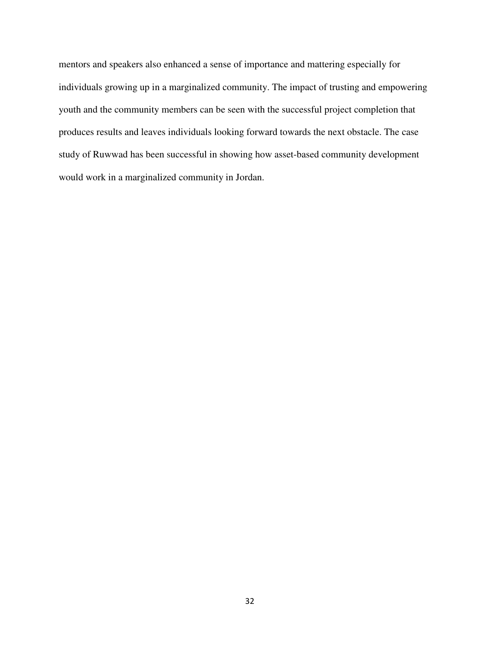mentors and speakers also enhanced a sense of importance and mattering especially for individuals growing up in a marginalized community. The impact of trusting and empowering youth and the community members can be seen with the successful project completion that produces results and leaves individuals looking forward towards the next obstacle. The case study of Ruwwad has been successful in showing how asset-based community development would work in a marginalized community in Jordan.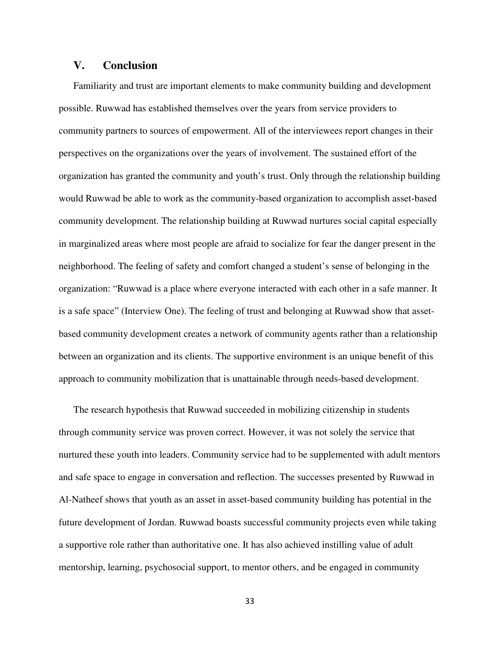# **V. Conclusion**

Familiarity and trust are important elements to make community building and development possible. Ruwwad has established themselves over the years from service providers to community partners to sources of empowerment. All of the interviewees report changes in their perspectives on the organizations over the years of involvement. The sustained effort of the organization has granted the community and youth's trust. Only through the relationship building would Ruwwad be able to work as the community-based organization to accomplish asset-based community development. The relationship building at Ruwwad nurtures social capital especially in marginalized areas where most people are afraid to socialize for fear the danger present in the neighborhood. The feeling of safety and comfort changed a student's sense of belonging in the organization: "Ruwwad is a place where everyone interacted with each other in a safe manner. It is a safe space" (Interview One). The feeling of trust and belonging at Ruwwad show that assetbased community development creates a network of community agents rather than a relationship between an organization and its clients. The supportive environment is an unique benefit of this approach to community mobilization that is unattainable through needs-based development.

The research hypothesis that Ruwwad succeeded in mobilizing citizenship in students through community service was proven correct. However, it was not solely the service that nurtured these youth into leaders. Community service had to be supplemented with adult mentors and safe space to engage in conversation and reflection. The successes presented by Ruwwad in Al-Natheef shows that youth as an asset in asset-based community building has potential in the future development of Jordan. Ruwwad boasts successful community projects even while taking a supportive role rather than authoritative one. It has also achieved instilling value of adult mentorship, learning, psychosocial support, to mentor others, and be engaged in community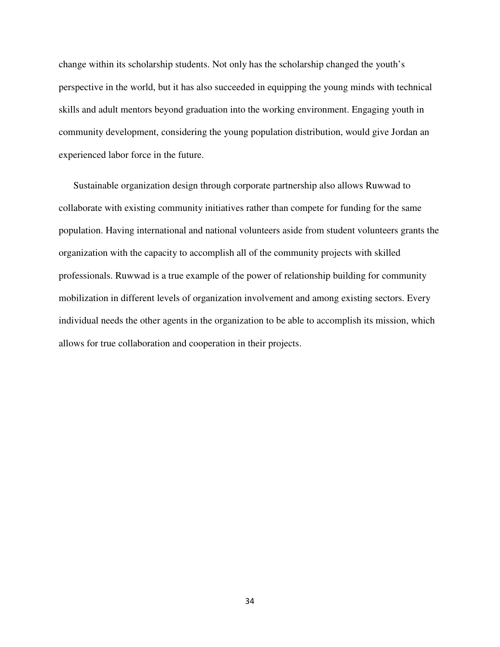change within its scholarship students. Not only has the scholarship changed the youth's perspective in the world, but it has also succeeded in equipping the young minds with technical skills and adult mentors beyond graduation into the working environment. Engaging youth in community development, considering the young population distribution, would give Jordan an experienced labor force in the future.

Sustainable organization design through corporate partnership also allows Ruwwad to collaborate with existing community initiatives rather than compete for funding for the same population. Having international and national volunteers aside from student volunteers grants the organization with the capacity to accomplish all of the community projects with skilled professionals. Ruwwad is a true example of the power of relationship building for community mobilization in different levels of organization involvement and among existing sectors. Every individual needs the other agents in the organization to be able to accomplish its mission, which allows for true collaboration and cooperation in their projects.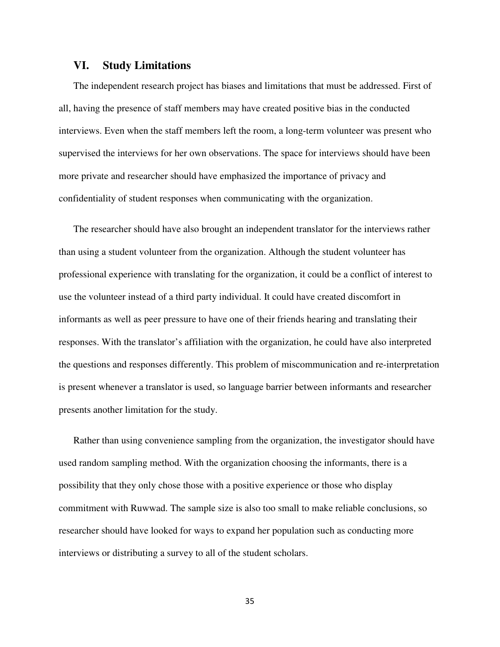#### **VI. Study Limitations**

The independent research project has biases and limitations that must be addressed. First of all, having the presence of staff members may have created positive bias in the conducted interviews. Even when the staff members left the room, a long-term volunteer was present who supervised the interviews for her own observations. The space for interviews should have been more private and researcher should have emphasized the importance of privacy and confidentiality of student responses when communicating with the organization.

The researcher should have also brought an independent translator for the interviews rather than using a student volunteer from the organization. Although the student volunteer has professional experience with translating for the organization, it could be a conflict of interest to use the volunteer instead of a third party individual. It could have created discomfort in informants as well as peer pressure to have one of their friends hearing and translating their responses. With the translator's affiliation with the organization, he could have also interpreted the questions and responses differently. This problem of miscommunication and re-interpretation is present whenever a translator is used, so language barrier between informants and researcher presents another limitation for the study.

Rather than using convenience sampling from the organization, the investigator should have used random sampling method. With the organization choosing the informants, there is a possibility that they only chose those with a positive experience or those who display commitment with Ruwwad. The sample size is also too small to make reliable conclusions, so researcher should have looked for ways to expand her population such as conducting more interviews or distributing a survey to all of the student scholars.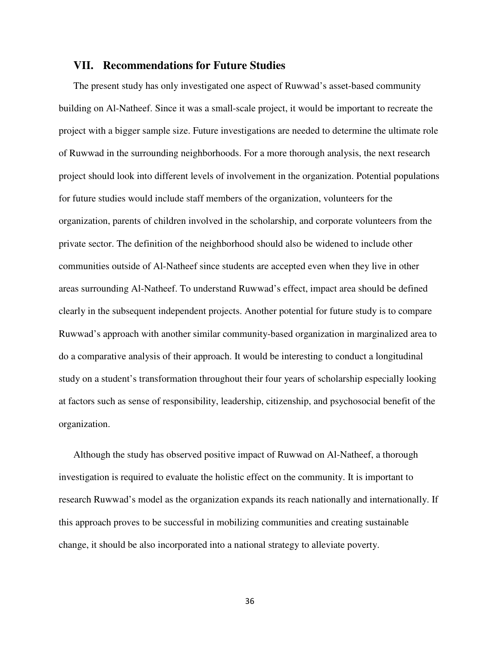#### **VII. Recommendations for Future Studies**

The present study has only investigated one aspect of Ruwwad's asset-based community building on Al-Natheef. Since it was a small-scale project, it would be important to recreate the project with a bigger sample size. Future investigations are needed to determine the ultimate role of Ruwwad in the surrounding neighborhoods. For a more thorough analysis, the next research project should look into different levels of involvement in the organization. Potential populations for future studies would include staff members of the organization, volunteers for the organization, parents of children involved in the scholarship, and corporate volunteers from the private sector. The definition of the neighborhood should also be widened to include other communities outside of Al-Natheef since students are accepted even when they live in other areas surrounding Al-Natheef. To understand Ruwwad's effect, impact area should be defined clearly in the subsequent independent projects. Another potential for future study is to compare Ruwwad's approach with another similar community-based organization in marginalized area to do a comparative analysis of their approach. It would be interesting to conduct a longitudinal study on a student's transformation throughout their four years of scholarship especially looking at factors such as sense of responsibility, leadership, citizenship, and psychosocial benefit of the organization.

Although the study has observed positive impact of Ruwwad on Al-Natheef, a thorough investigation is required to evaluate the holistic effect on the community. It is important to research Ruwwad's model as the organization expands its reach nationally and internationally. If this approach proves to be successful in mobilizing communities and creating sustainable change, it should be also incorporated into a national strategy to alleviate poverty.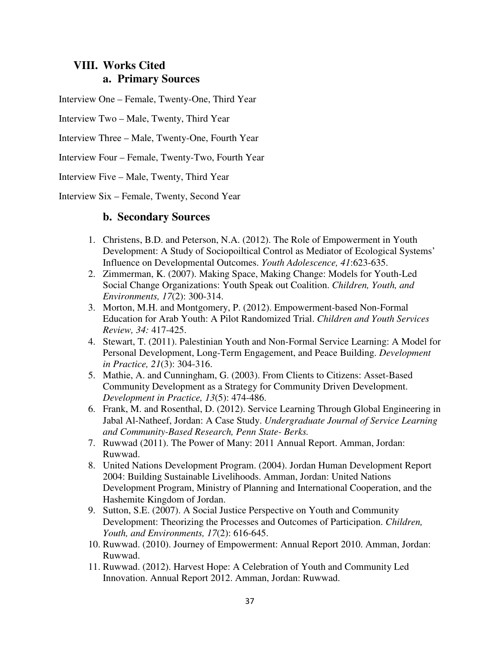# **VIII. Works Cited a. Primary Sources**

Interview One – Female, Twenty-One, Third Year

Interview Two – Male, Twenty, Third Year

Interview Three – Male, Twenty-One, Fourth Year

Interview Four – Female, Twenty-Two, Fourth Year

Interview Five – Male, Twenty, Third Year

Interview Six – Female, Twenty, Second Year

# **b. Secondary Sources**

- 1. Christens, B.D. and Peterson, N.A. (2012). The Role of Empowerment in Youth Development: A Study of Sociopoiltical Control as Mediator of Ecological Systems' Influence on Developmental Outcomes. *Youth Adolescence, 41*:623-635.
- 2. Zimmerman, K. (2007). Making Space, Making Change: Models for Youth-Led Social Change Organizations: Youth Speak out Coalition. *Children, Youth, and Environments, 17*(2): 300-314.
- 3. Morton, M.H. and Montgomery, P. (2012). Empowerment-based Non-Formal Education for Arab Youth: A Pilot Randomized Trial. *Children and Youth Services Review, 34:* 417-425.
- 4. Stewart, T. (2011). Palestinian Youth and Non-Formal Service Learning: A Model for Personal Development, Long-Term Engagement, and Peace Building. *Development in Practice, 21*(3): 304-316.
- 5. Mathie, A. and Cunningham, G. (2003). From Clients to Citizens: Asset-Based Community Development as a Strategy for Community Driven Development. *Development in Practice, 13*(5): 474-486.
- 6. Frank, M. and Rosenthal, D. (2012). Service Learning Through Global Engineering in Jabal Al-Natheef, Jordan: A Case Study. *Undergraduate Journal of Service Learning and Community-Based Research, Penn State- Berks.*
- 7. Ruwwad (2011). The Power of Many: 2011 Annual Report. Amman, Jordan: Ruwwad.
- 8. United Nations Development Program. (2004). Jordan Human Development Report 2004: Building Sustainable Livelihoods. Amman, Jordan: United Nations Development Program, Ministry of Planning and International Cooperation, and the Hashemite Kingdom of Jordan.
- 9. Sutton, S.E. (2007). A Social Justice Perspective on Youth and Community Development: Theorizing the Processes and Outcomes of Participation. *Children, Youth, and Environments, 17*(2): 616-645.
- 10. Ruwwad. (2010). Journey of Empowerment: Annual Report 2010. Amman, Jordan: Ruwwad.
- 11. Ruwwad. (2012). Harvest Hope: A Celebration of Youth and Community Led Innovation. Annual Report 2012. Amman, Jordan: Ruwwad.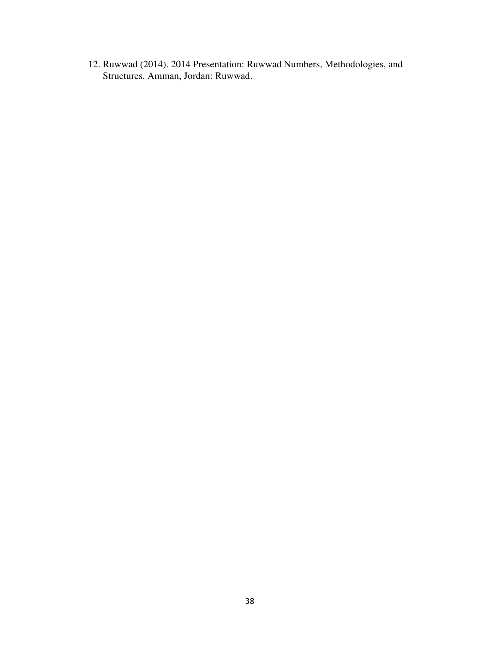12. Ruwwad (2014). 2014 Presentation: Ruwwad Numbers, Methodologies, and Structures. Amman, Jordan: Ruwwad.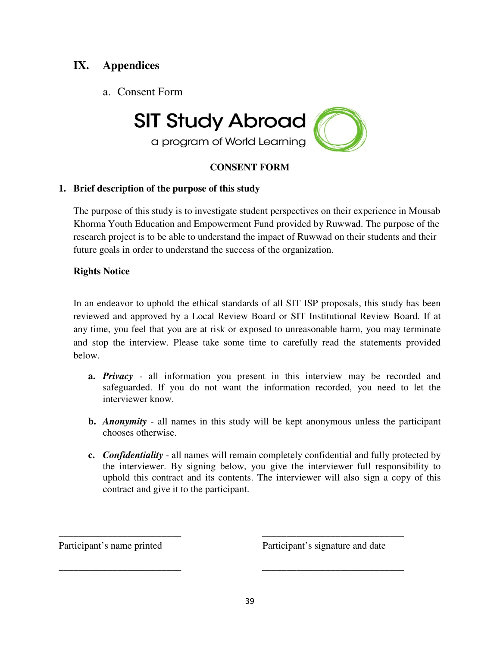# **IX. Appendices**

a. Consent Form



a program of World Learning

# **CONSENT FORM**

# **1. Brief description of the purpose of this study**

The purpose of this study is to investigate student perspectives on their experience in Mousab Khorma Youth Education and Empowerment Fund provided by Ruwwad. The purpose of the research project is to be able to understand the impact of Ruwwad on their students and their future goals in order to understand the success of the organization.

# **Rights Notice**

In an endeavor to uphold the ethical standards of all SIT ISP proposals, this study has been reviewed and approved by a Local Review Board or SIT Institutional Review Board. If at any time, you feel that you are at risk or exposed to unreasonable harm, you may terminate and stop the interview. Please take some time to carefully read the statements provided below.

- **a.** *Privacy* all information you present in this interview may be recorded and safeguarded. If you do not want the information recorded, you need to let the interviewer know.
- **b.** *Anonymity* all names in this study will be kept anonymous unless the participant chooses otherwise.
- **c.** *Confidentiality*  all names will remain completely confidential and fully protected by the interviewer. By signing below, you give the interviewer full responsibility to uphold this contract and its contents. The interviewer will also sign a copy of this contract and give it to the participant.

Participant's name printed Participant's signature and date

\_\_\_\_\_\_\_\_\_\_\_\_\_\_\_\_\_\_\_\_\_\_\_\_\_ \_\_\_\_\_\_\_\_\_\_\_\_\_\_\_\_\_\_\_\_\_\_\_\_\_\_\_\_\_

\_\_\_\_\_\_\_\_\_\_\_\_\_\_\_\_\_\_\_\_\_\_\_\_\_ \_\_\_\_\_\_\_\_\_\_\_\_\_\_\_\_\_\_\_\_\_\_\_\_\_\_\_\_\_